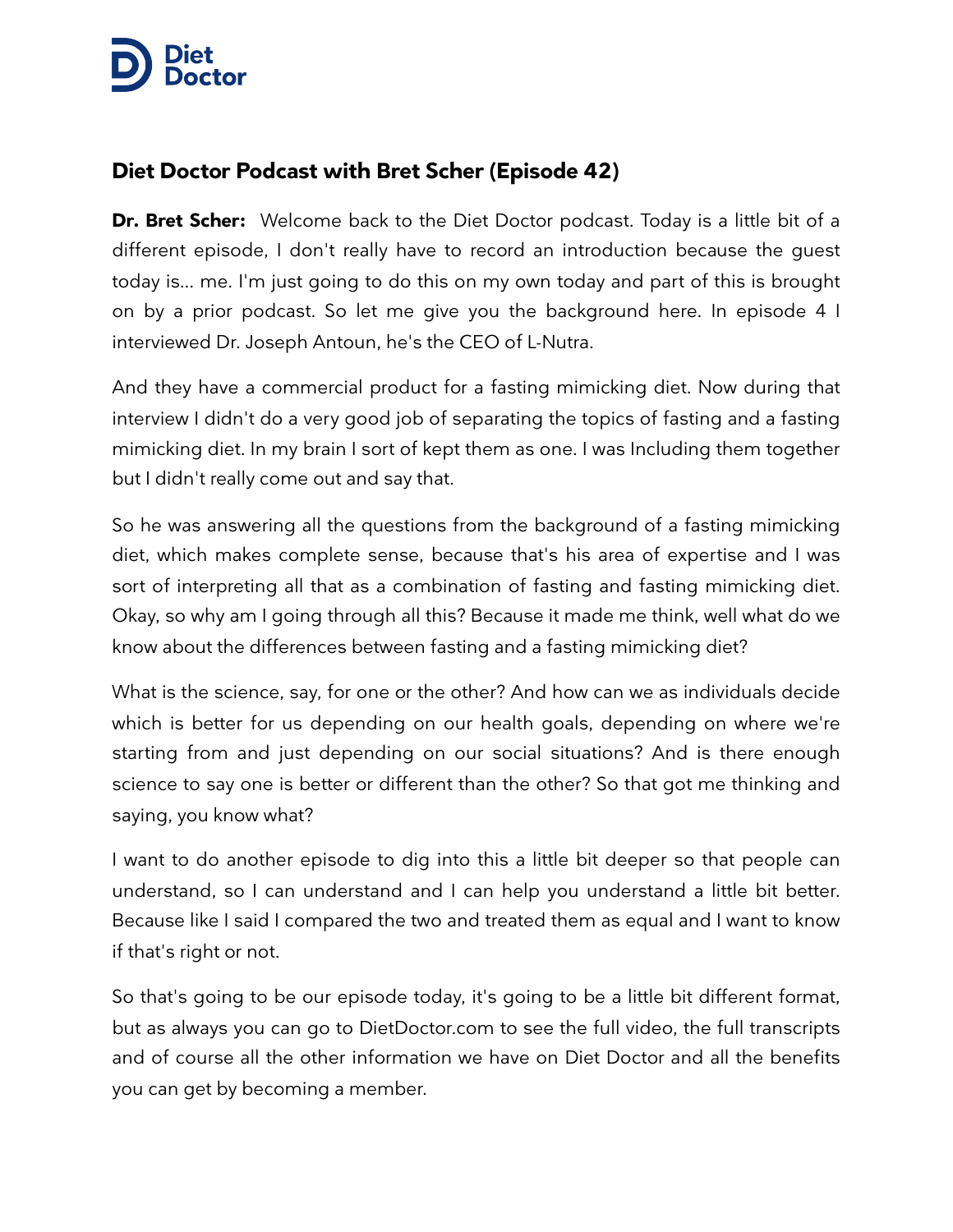## [……………….](https://www.dietdoctor.com/video/podcast)  $\rightarrow$  Docto

## **Diet Doctor Podcast with Bret Scher (Episode 42)**

**Dr. Bret Scher:** Welcome back to the Diet Doctor podcast. Today is a little bit of a different episode, I don't really have to record an introduction because the guest today is... me. I'm just going to do this on my own today and part of this is brought on by a prior podcast. So let me give you the background here. In episode 4 I interviewed Dr. Joseph Antoun, he's the CEO of L-Nutra.

And they have a commercial product for a fasting mimicking diet. Now during that interview I didn't do a very good job of separating the topics of fasting and a fasting mimicking diet. In my brain I sort of kept them as one. I was Including them together but I didn't really come out and say that.

So he was answering all the questions from the background of a fasting mimicking diet, which makes complete sense, because that's his area of expertise and I was sort of interpreting all that as a combination of fasting and fasting mimicking diet. Okay, so why am I going through all this? Because it made me think, well what do we know about the differences between fasting and a fasting mimicking diet?

What is the science, say, for one or the other? And how can we as individuals decide which is better for us depending on our health goals, depending on where we're starting from and just depending on our social situations? And is there enough science to say one is better or different than the other? So that got me thinking and saying, you know what?

I want to do another episode to dig into this a little bit deeper so that people can understand, so I can understand and I can help you understand a little bit better. Because like I said I compared the two and treated them as equal and I want to know if that's right or not.

So that's going to be our episode today, it's going to be a little bit different format, but as always you can go to DietDoctor.com to see the full video, the full transcripts and of course all the other information we have on Diet Doctor and all the benefits you can get by becoming a member.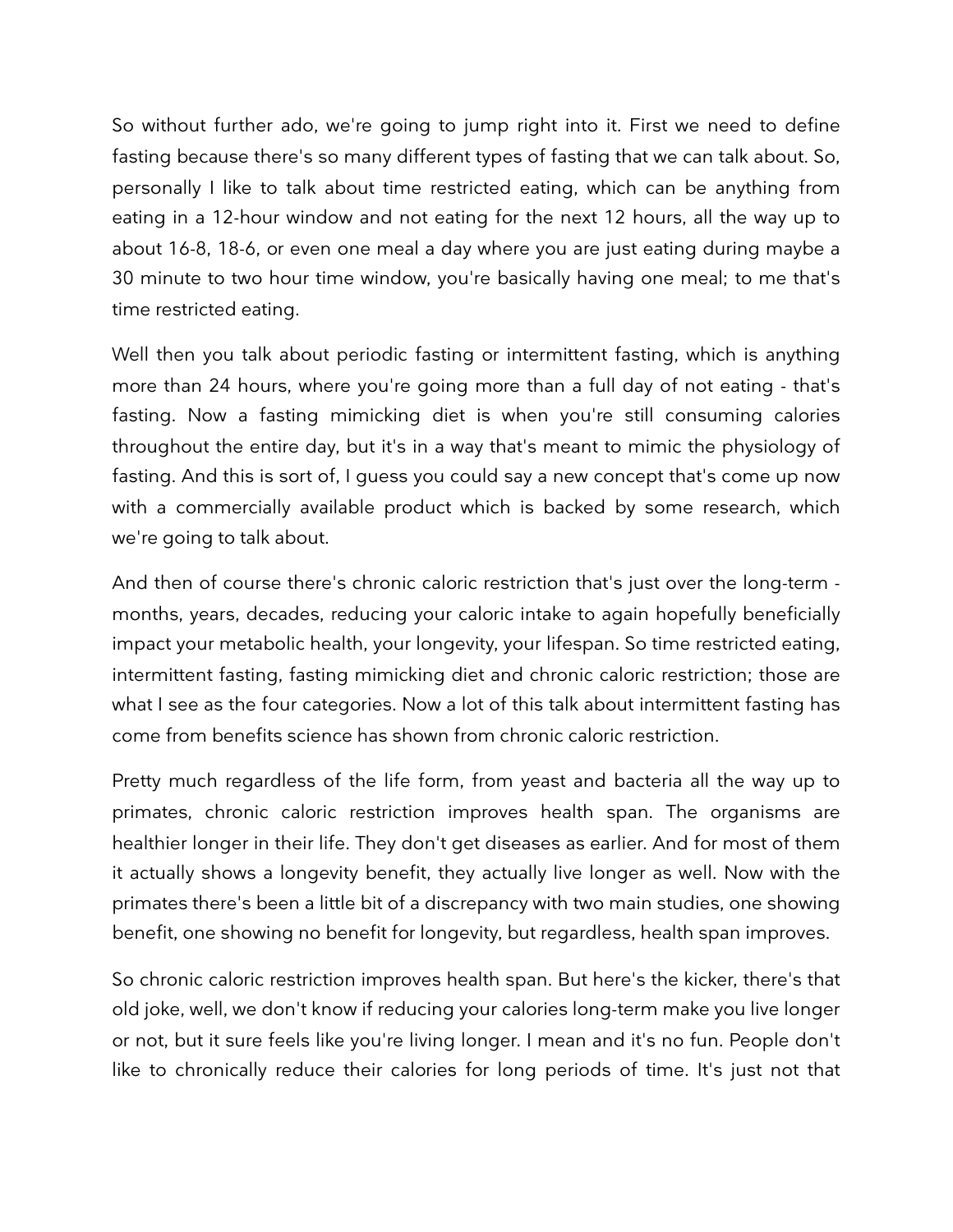So without further ado, we're going to jump right into it. First we need to define fasting because there's so many different types of fasting that we can talk about. So, personally I like to talk about time restricted eating, which can be anything from eating in a 12-hour window and not eating for the next 12 hours, all the way up to about 16-8, 18-6, or even one meal a day where you are just eating during maybe a 30 minute to two hour time window, you're basically having one meal; to me that's time restricted eating.

Well then you talk about periodic fasting or intermittent fasting, which is anything more than 24 hours, where you're going more than a full day of not eating - that's fasting. Now a fasting mimicking diet is when you're still consuming calories throughout the entire day, but it's in a way that's meant to mimic the physiology of fasting. And this is sort of, I guess you could say a new concept that's come up now with a commercially available product which is backed by some research, which we're going to talk about.

And then of course there's chronic caloric restriction that's just over the long-term months, years, decades, reducing your caloric intake to again hopefully beneficially impact your metabolic health, your longevity, your lifespan. So time restricted eating, intermittent fasting, fasting mimicking diet and chronic caloric restriction; those are what I see as the four categories. Now a lot of this talk about intermittent fasting has come from benefits science has shown from chronic caloric restriction.

Pretty much regardless of the life form, from yeast and bacteria all the way up to primates, chronic caloric restriction improves health span. The organisms are healthier longer in their life. They don't get diseases as earlier. And for most of them it actually shows a longevity benefit, they actually live longer as well. Now with the primates there's been a little bit of a discrepancy with two main studies, one showing benefit, one showing no benefit for longevity, but regardless, health span improves.

So chronic caloric restriction improves health span. But here's the kicker, there's that old joke, well, we don't know if reducing your calories long-term make you live longer or not, but it sure feels like you're living longer. I mean and it's no fun. People don't like to chronically reduce their calories for long periods of time. It's just not that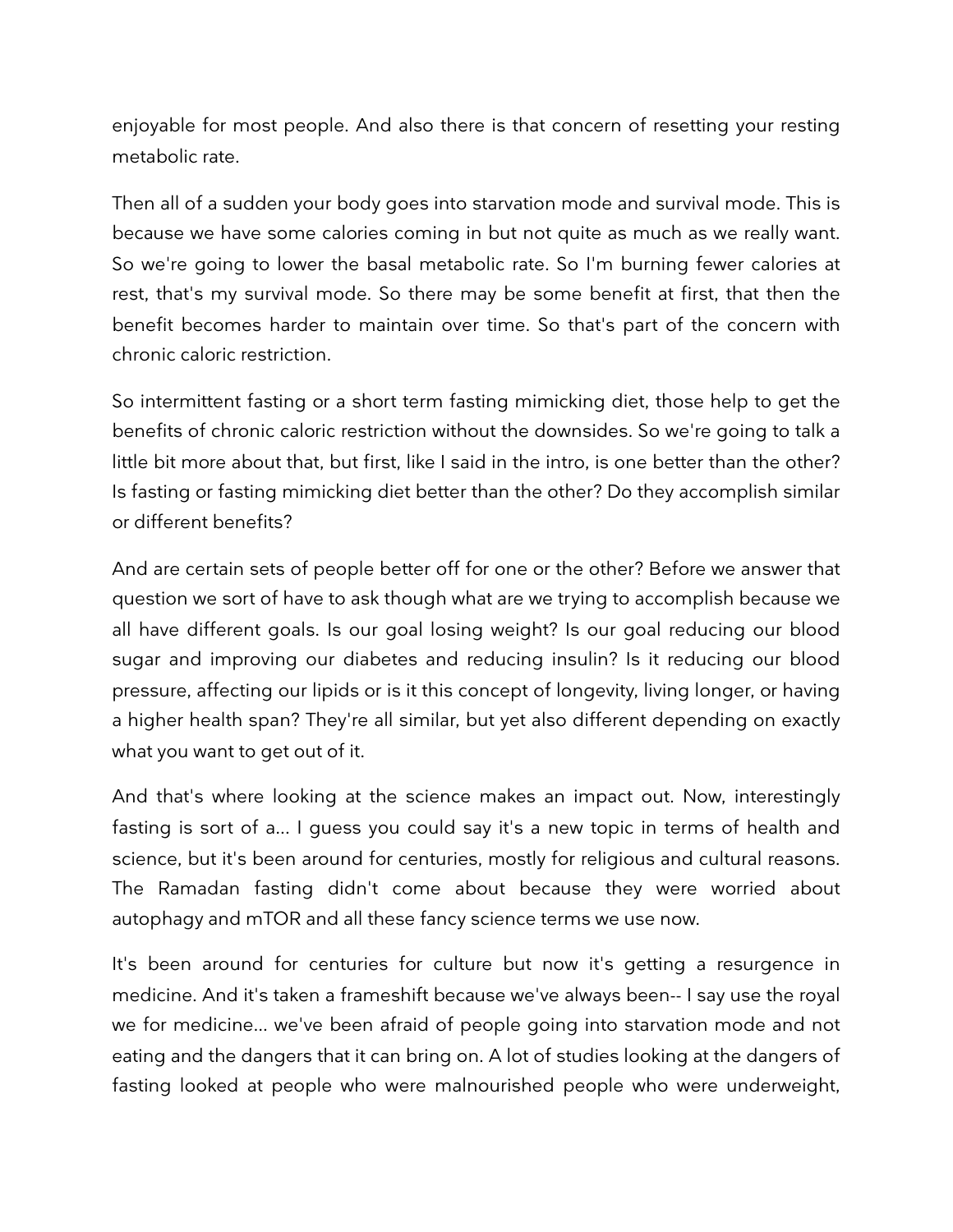enjoyable for most people. And also there is that concern of resetting your resting metabolic rate.

Then all of a sudden your body goes into starvation mode and survival mode. This is because we have some calories coming in but not quite as much as we really want. So we're going to lower the basal metabolic rate. So I'm burning fewer calories at rest, that's my survival mode. So there may be some benefit at first, that then the benefit becomes harder to maintain over time. So that's part of the concern with chronic caloric restriction.

So intermittent fasting or a short term fasting mimicking diet, those help to get the benefits of chronic caloric restriction without the downsides. So we're going to talk a little bit more about that, but first, like I said in the intro, is one better than the other? Is fasting or fasting mimicking diet better than the other? Do they accomplish similar or different benefits?

And are certain sets of people better off for one or the other? Before we answer that question we sort of have to ask though what are we trying to accomplish because we all have different goals. Is our goal losing weight? Is our goal reducing our blood sugar and improving our diabetes and reducing insulin? Is it reducing our blood pressure, affecting our lipids or is it this concept of longevity, living longer, or having a higher health span? They're all similar, but yet also different depending on exactly what you want to get out of it.

And that's where looking at the science makes an impact out. Now, interestingly fasting is sort of a... I guess you could say it's a new topic in terms of health and science, but it's been around for centuries, mostly for religious and cultural reasons. The Ramadan fasting didn't come about because they were worried about autophagy and mTOR and all these fancy science terms we use now.

It's been around for centuries for culture but now it's getting a resurgence in medicine. And it's taken a frameshift because we've always been-- I say use the royal we for medicine... we've been afraid of people going into starvation mode and not eating and the dangers that it can bring on. A lot of studies looking at the dangers of fasting looked at people who were malnourished people who were underweight,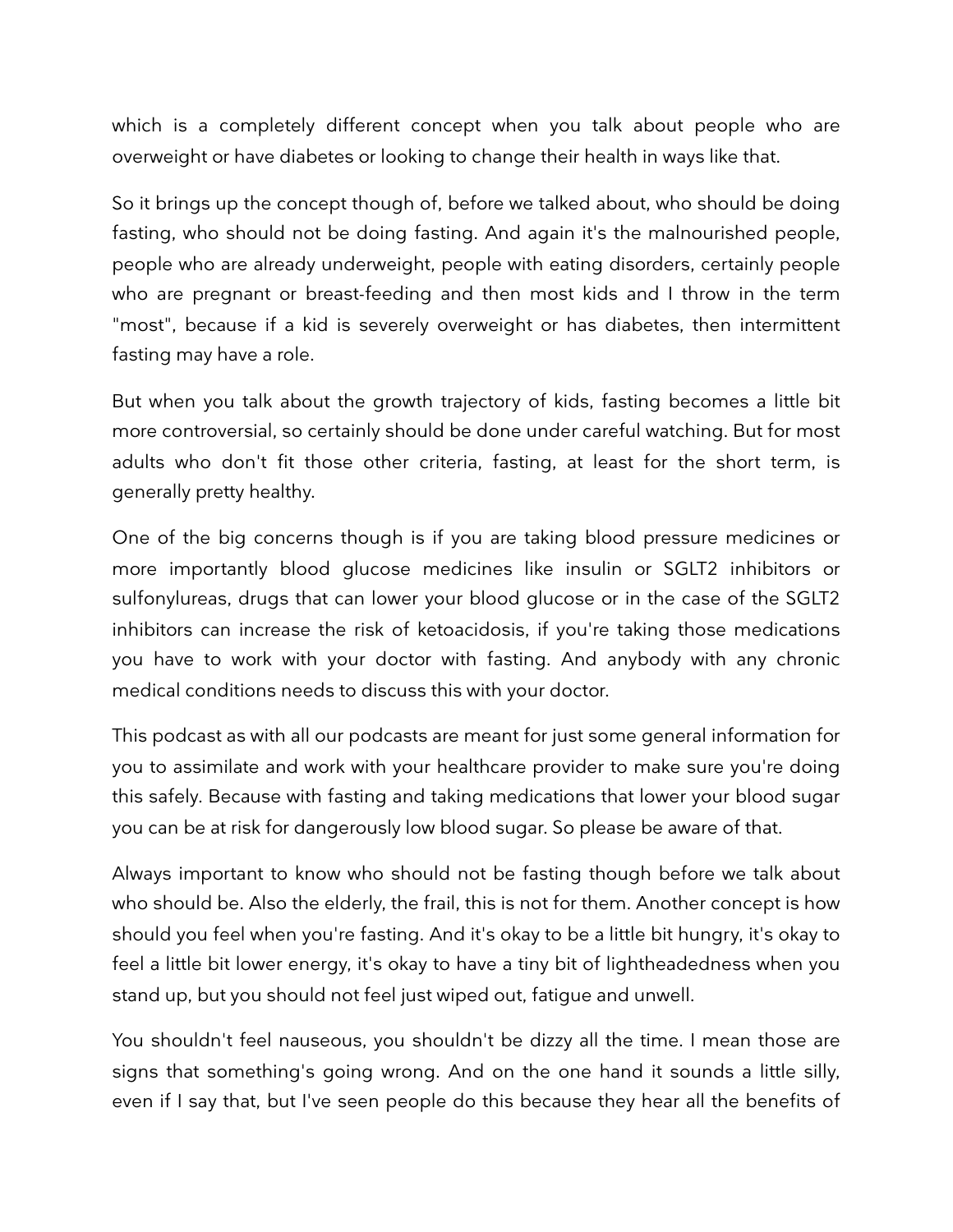which is a completely different concept when you talk about people who are overweight or have diabetes or looking to change their health in ways like that.

So it brings up the concept though of, before we talked about, who should be doing fasting, who should not be doing fasting. And again it's the malnourished people, people who are already underweight, people with eating disorders, certainly people who are pregnant or breast-feeding and then most kids and I throw in the term "most", because if a kid is severely overweight or has diabetes, then intermittent fasting may have a role.

But when you talk about the growth trajectory of kids, fasting becomes a little bit more controversial, so certainly should be done under careful watching. But for most adults who don't fit those other criteria, fasting, at least for the short term, is generally pretty healthy.

One of the big concerns though is if you are taking blood pressure medicines or more importantly blood glucose medicines like insulin or SGLT2 inhibitors or sulfonylureas, drugs that can lower your blood glucose or in the case of the SGLT2 inhibitors can increase the risk of ketoacidosis, if you're taking those medications you have to work with your doctor with fasting. And anybody with any chronic medical conditions needs to discuss this with your doctor.

This podcast as with all our podcasts are meant for just some general information for you to assimilate and work with your healthcare provider to make sure you're doing this safely. Because with fasting and taking medications that lower your blood sugar you can be at risk for dangerously low blood sugar. So please be aware of that.

Always important to know who should not be fasting though before we talk about who should be. Also the elderly, the frail, this is not for them. Another concept is how should you feel when you're fasting. And it's okay to be a little bit hungry, it's okay to feel a little bit lower energy, it's okay to have a tiny bit of lightheadedness when you stand up, but you should not feel just wiped out, fatigue and unwell.

You shouldn't feel nauseous, you shouldn't be dizzy all the time. I mean those are signs that something's going wrong. And on the one hand it sounds a little silly, even if I say that, but I've seen people do this because they hear all the benefits of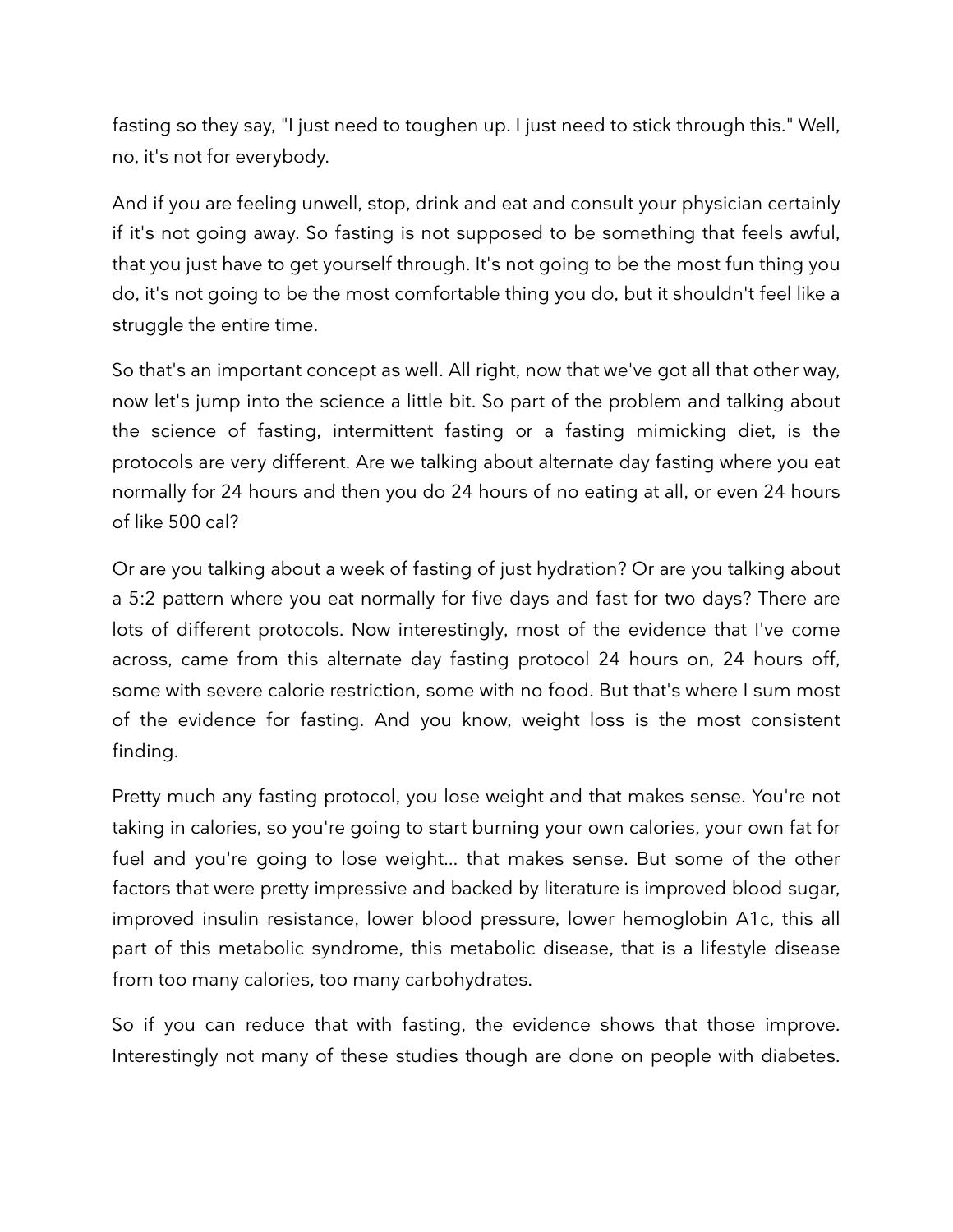fasting so they say, "I just need to toughen up. I just need to stick through this." Well, no, it's not for everybody.

And if you are feeling unwell, stop, drink and eat and consult your physician certainly if it's not going away. So fasting is not supposed to be something that feels awful, that you just have to get yourself through. It's not going to be the most fun thing you do, it's not going to be the most comfortable thing you do, but it shouldn't feel like a struggle the entire time.

So that's an important concept as well. All right, now that we've got all that other way, now let's jump into the science a little bit. So part of the problem and talking about the science of fasting, intermittent fasting or a fasting mimicking diet, is the protocols are very different. Are we talking about alternate day fasting where you eat normally for 24 hours and then you do 24 hours of no eating at all, or even 24 hours of like 500 cal?

Or are you talking about a week of fasting of just hydration? Or are you talking about a 5:2 pattern where you eat normally for five days and fast for two days? There are lots of different protocols. Now interestingly, most of the evidence that I've come across, came from this alternate day fasting protocol 24 hours on, 24 hours off, some with severe calorie restriction, some with no food. But that's where I sum most of the evidence for fasting. And you know, weight loss is the most consistent finding.

Pretty much any fasting protocol, you lose weight and that makes sense. You're not taking in calories, so you're going to start burning your own calories, your own fat for fuel and you're going to lose weight... that makes sense. But some of the other factors that were pretty impressive and backed by literature is improved blood sugar, improved insulin resistance, lower blood pressure, lower hemoglobin A1c, this all part of this metabolic syndrome, this metabolic disease, that is a lifestyle disease from too many calories, too many carbohydrates.

So if you can reduce that with fasting, the evidence shows that those improve. Interestingly not many of these studies though are done on people with diabetes.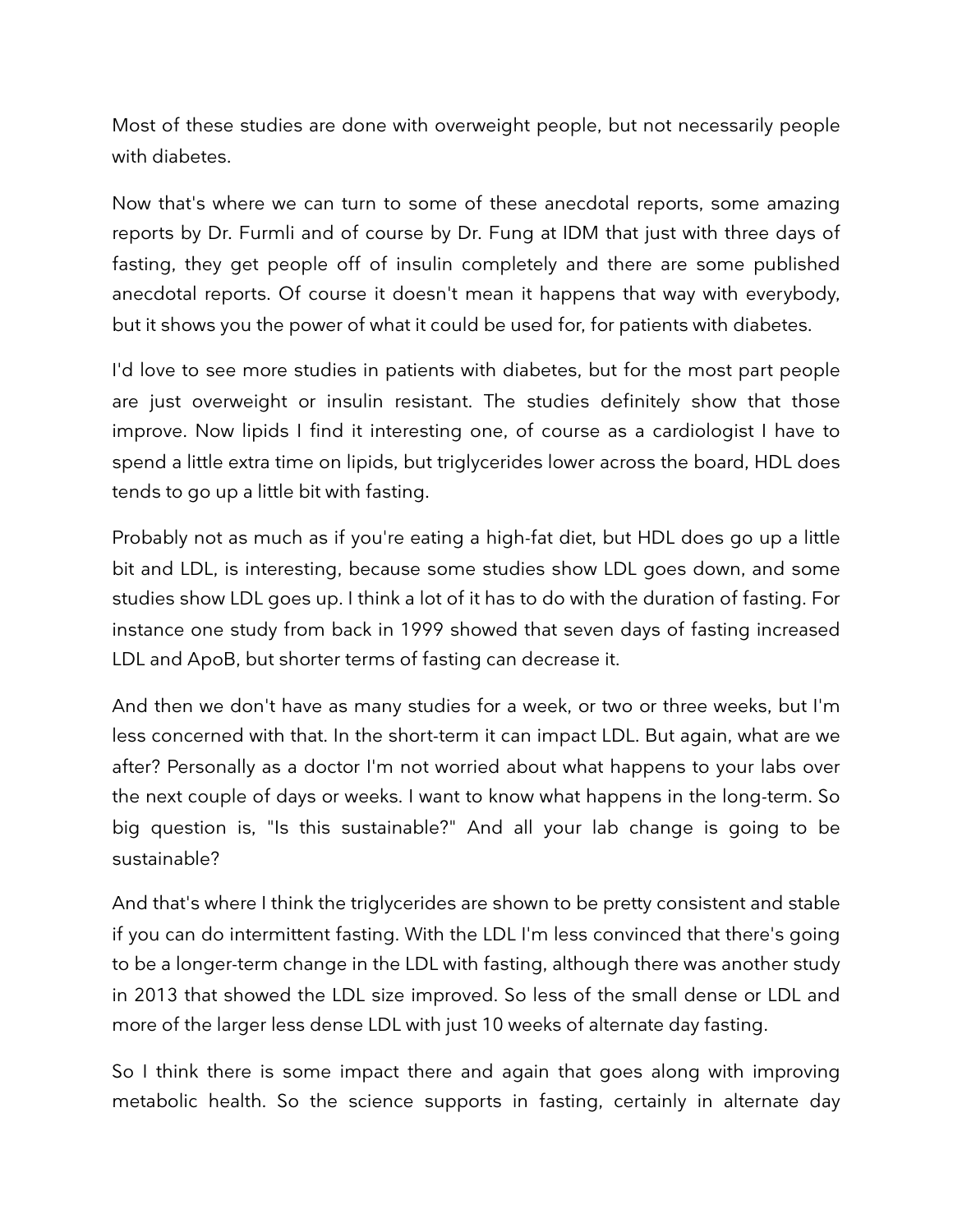Most of these studies are done with overweight people, but not necessarily people with diabetes.

Now that's where we can turn to some of these anecdotal reports, some amazing reports by Dr. Furmli and of course by Dr. Fung at IDM that just with three days of fasting, they get people off of insulin completely and there are some published anecdotal reports. Of course it doesn't mean it happens that way with everybody, but it shows you the power of what it could be used for, for patients with diabetes.

I'd love to see more studies in patients with diabetes, but for the most part people are just overweight or insulin resistant. The studies definitely show that those improve. Now lipids I find it interesting one, of course as a cardiologist I have to spend a little extra time on lipids, but triglycerides lower across the board, HDL does tends to go up a little bit with fasting.

Probably not as much as if you're eating a high-fat diet, but HDL does go up a little bit and LDL, is interesting, because some studies show LDL goes down, and some studies show LDL goes up. I think a lot of it has to do with the duration of fasting. For instance one study from back in 1999 showed that seven days of fasting increased LDL and ApoB, but shorter terms of fasting can decrease it.

And then we don't have as many studies for a week, or two or three weeks, but I'm less concerned with that. In the short-term it can impact LDL. But again, what are we after? Personally as a doctor I'm not worried about what happens to your labs over the next couple of days or weeks. I want to know what happens in the long-term. So big question is, "Is this sustainable?" And all your lab change is going to be sustainable?

And that's where I think the triglycerides are shown to be pretty consistent and stable if you can do intermittent fasting. With the LDL I'm less convinced that there's going to be a longer-term change in the LDL with fasting, although there was another study in 2013 that showed the LDL size improved. So less of the small dense or LDL and more of the larger less dense LDL with just 10 weeks of alternate day fasting.

So I think there is some impact there and again that goes along with improving metabolic health. So the science supports in fasting, certainly in alternate day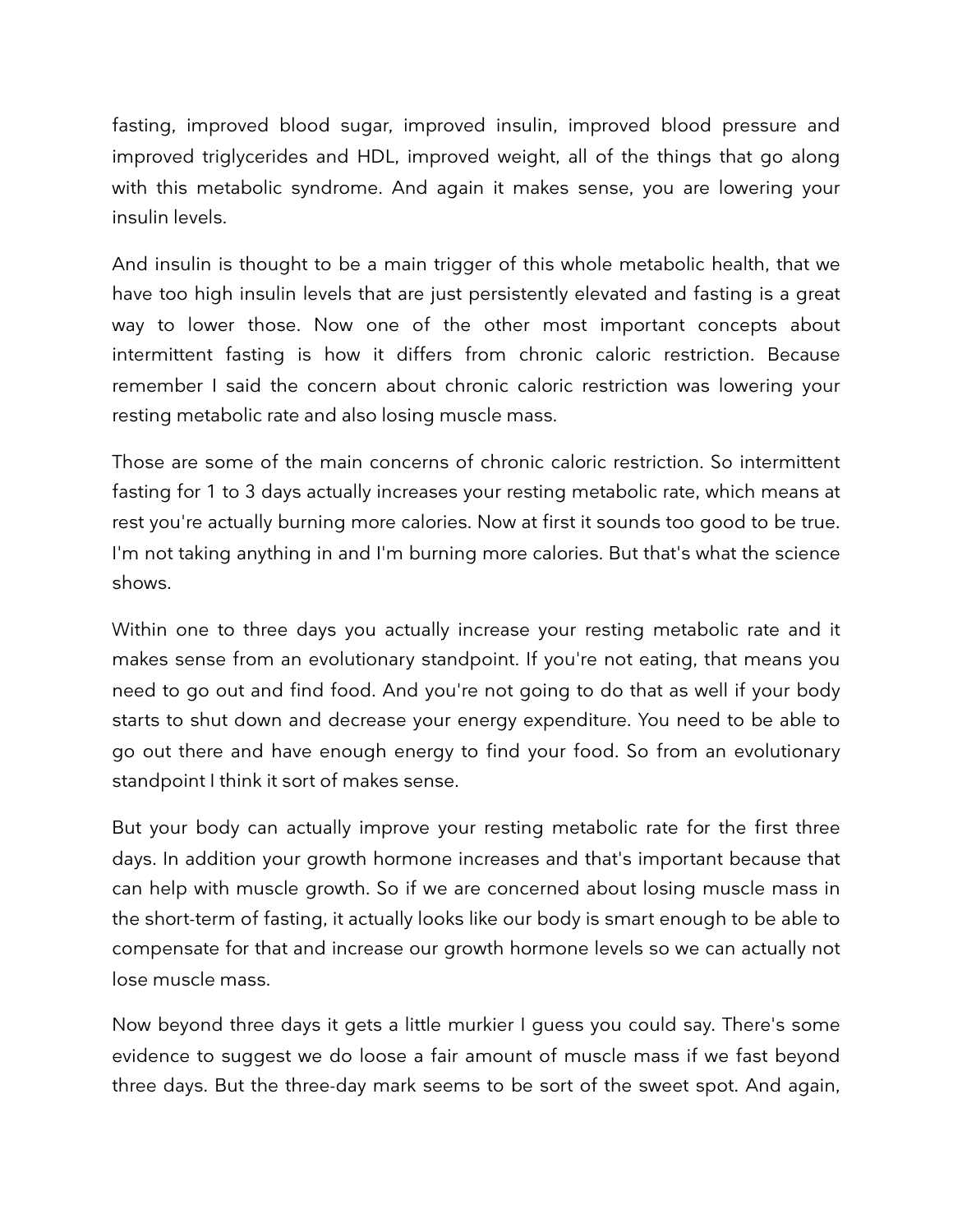fasting, improved blood sugar, improved insulin, improved blood pressure and improved triglycerides and HDL, improved weight, all of the things that go along with this metabolic syndrome. And again it makes sense, you are lowering your insulin levels.

And insulin is thought to be a main trigger of this whole metabolic health, that we have too high insulin levels that are just persistently elevated and fasting is a great way to lower those. Now one of the other most important concepts about intermittent fasting is how it differs from chronic caloric restriction. Because remember I said the concern about chronic caloric restriction was lowering your resting metabolic rate and also losing muscle mass.

Those are some of the main concerns of chronic caloric restriction. So intermittent fasting for 1 to 3 days actually increases your resting metabolic rate, which means at rest you're actually burning more calories. Now at first it sounds too good to be true. I'm not taking anything in and I'm burning more calories. But that's what the science shows.

Within one to three days you actually increase your resting metabolic rate and it makes sense from an evolutionary standpoint. If you're not eating, that means you need to go out and find food. And you're not going to do that as well if your body starts to shut down and decrease your energy expenditure. You need to be able to go out there and have enough energy to find your food. So from an evolutionary standpoint I think it sort of makes sense.

But your body can actually improve your resting metabolic rate for the first three days. In addition your growth hormone increases and that's important because that can help with muscle growth. So if we are concerned about losing muscle mass in the short-term of fasting, it actually looks like our body is smart enough to be able to compensate for that and increase our growth hormone levels so we can actually not lose muscle mass.

Now beyond three days it gets a little murkier I guess you could say. There's some evidence to suggest we do loose a fair amount of muscle mass if we fast beyond three days. But the three-day mark seems to be sort of the sweet spot. And again,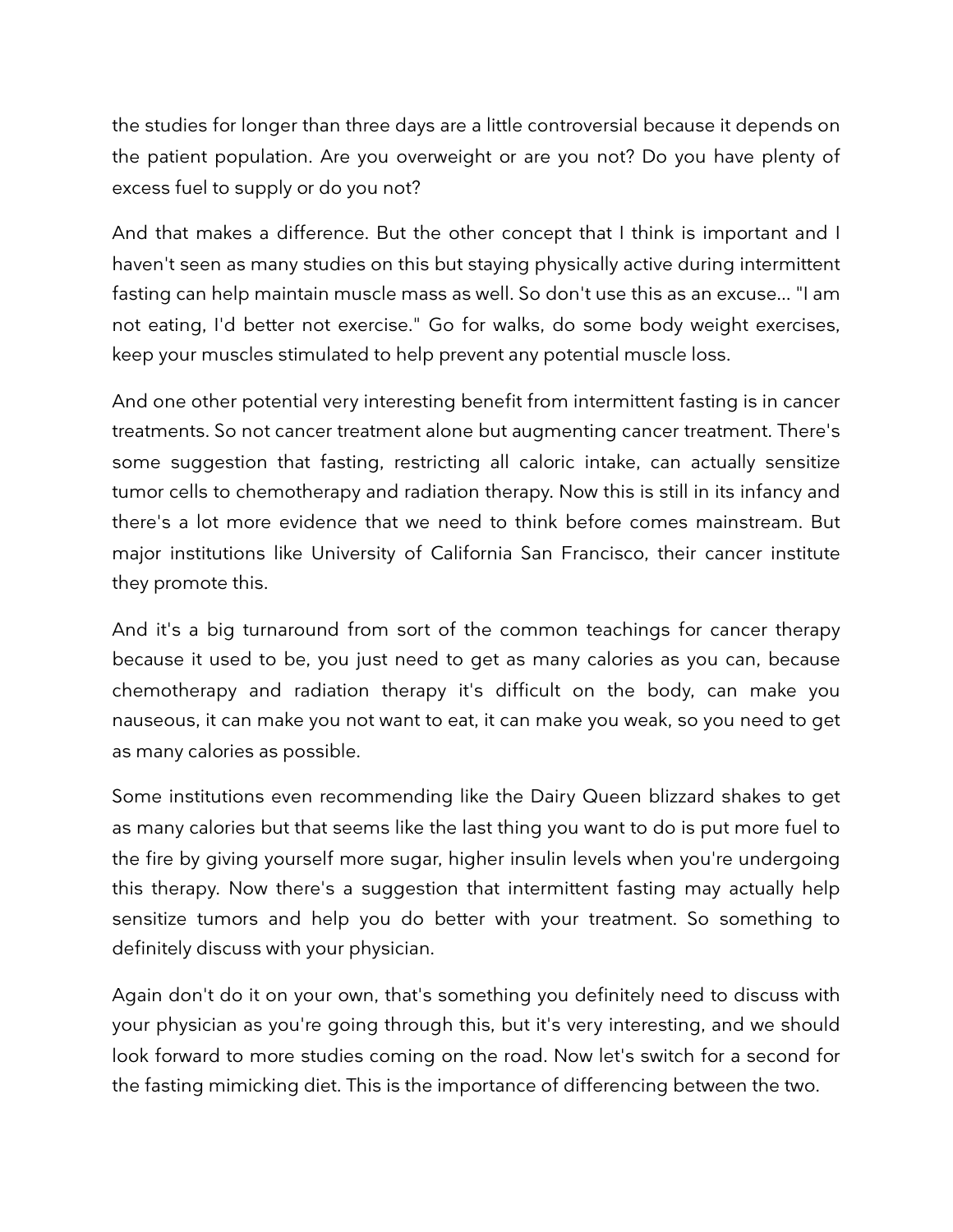the studies for longer than three days are a little controversial because it depends on the patient population. Are you overweight or are you not? Do you have plenty of excess fuel to supply or do you not?

And that makes a difference. But the other concept that I think is important and I haven't seen as many studies on this but staying physically active during intermittent fasting can help maintain muscle mass as well. So don't use this as an excuse... "I am not eating, I'd better not exercise." Go for walks, do some body weight exercises, keep your muscles stimulated to help prevent any potential muscle loss.

And one other potential very interesting benefit from intermittent fasting is in cancer treatments. So not cancer treatment alone but augmenting cancer treatment. There's some suggestion that fasting, restricting all caloric intake, can actually sensitize tumor cells to chemotherapy and radiation therapy. Now this is still in its infancy and there's a lot more evidence that we need to think before comes mainstream. But major institutions like University of California San Francisco, their cancer institute they promote this.

And it's a big turnaround from sort of the common teachings for cancer therapy because it used to be, you just need to get as many calories as you can, because chemotherapy and radiation therapy it's difficult on the body, can make you nauseous, it can make you not want to eat, it can make you weak, so you need to get as many calories as possible.

Some institutions even recommending like the Dairy Queen blizzard shakes to get as many calories but that seems like the last thing you want to do is put more fuel to the fire by giving yourself more sugar, higher insulin levels when you're undergoing this therapy. Now there's a suggestion that intermittent fasting may actually help sensitize tumors and help you do better with your treatment. So something to definitely discuss with your physician.

Again don't do it on your own, that's something you definitely need to discuss with your physician as you're going through this, but it's very interesting, and we should look forward to more studies coming on the road. Now let's switch for a second for the fasting mimicking diet. This is the importance of differencing between the two.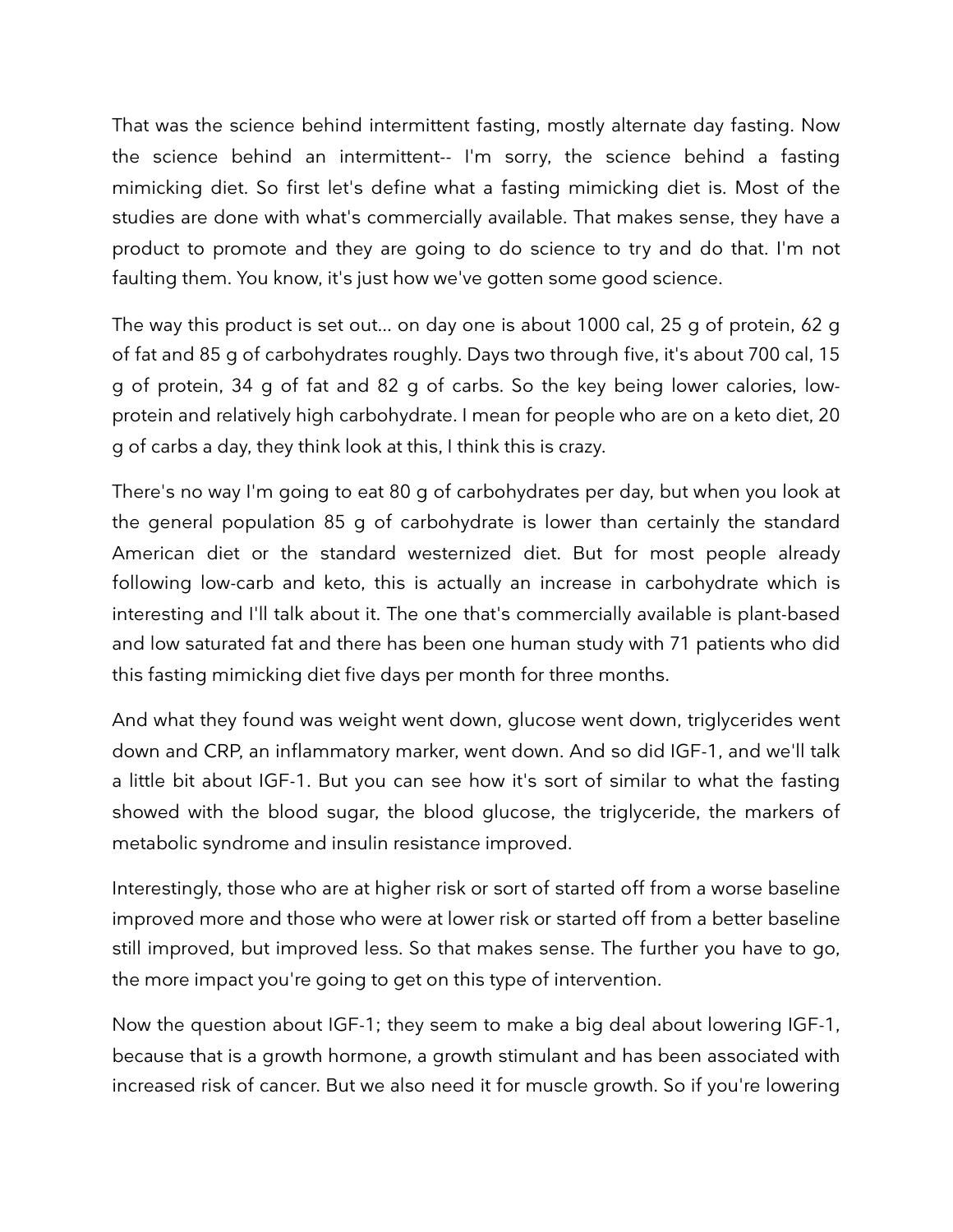That was the science behind intermittent fasting, mostly alternate day fasting. Now the science behind an intermittent-- I'm sorry, the science behind a fasting mimicking diet. So first let's define what a fasting mimicking diet is. Most of the studies are done with what's commercially available. That makes sense, they have a product to promote and they are going to do science to try and do that. I'm not faulting them. You know, it's just how we've gotten some good science.

The way this product is set out... on day one is about 1000 cal, 25 g of protein, 62 g of fat and 85 g of carbohydrates roughly. Days two through five, it's about 700 cal, 15 g of protein, 34 g of fat and 82 g of carbs. So the key being lower calories, lowprotein and relatively high carbohydrate. I mean for people who are on a keto diet, 20 g of carbs a day, they think look at this, I think this is crazy.

There's no way I'm going to eat 80 g of carbohydrates per day, but when you look at the general population 85 g of carbohydrate is lower than certainly the standard American diet or the standard westernized diet. But for most people already following low-carb and keto, this is actually an increase in carbohydrate which is interesting and I'll talk about it. The one that's commercially available is plant-based and low saturated fat and there has been one human study with 71 patients who did this fasting mimicking diet five days per month for three months.

And what they found was weight went down, glucose went down, triglycerides went down and CRP, an inflammatory marker, went down. And so did IGF-1, and we'll talk a little bit about IGF-1. But you can see how it's sort of similar to what the fasting showed with the blood sugar, the blood glucose, the triglyceride, the markers of metabolic syndrome and insulin resistance improved.

Interestingly, those who are at higher risk or sort of started off from a worse baseline improved more and those who were at lower risk or started off from a better baseline still improved, but improved less. So that makes sense. The further you have to go, the more impact you're going to get on this type of intervention.

Now the question about IGF-1; they seem to make a big deal about lowering IGF-1, because that is a growth hormone, a growth stimulant and has been associated with increased risk of cancer. But we also need it for muscle growth. So if you're lowering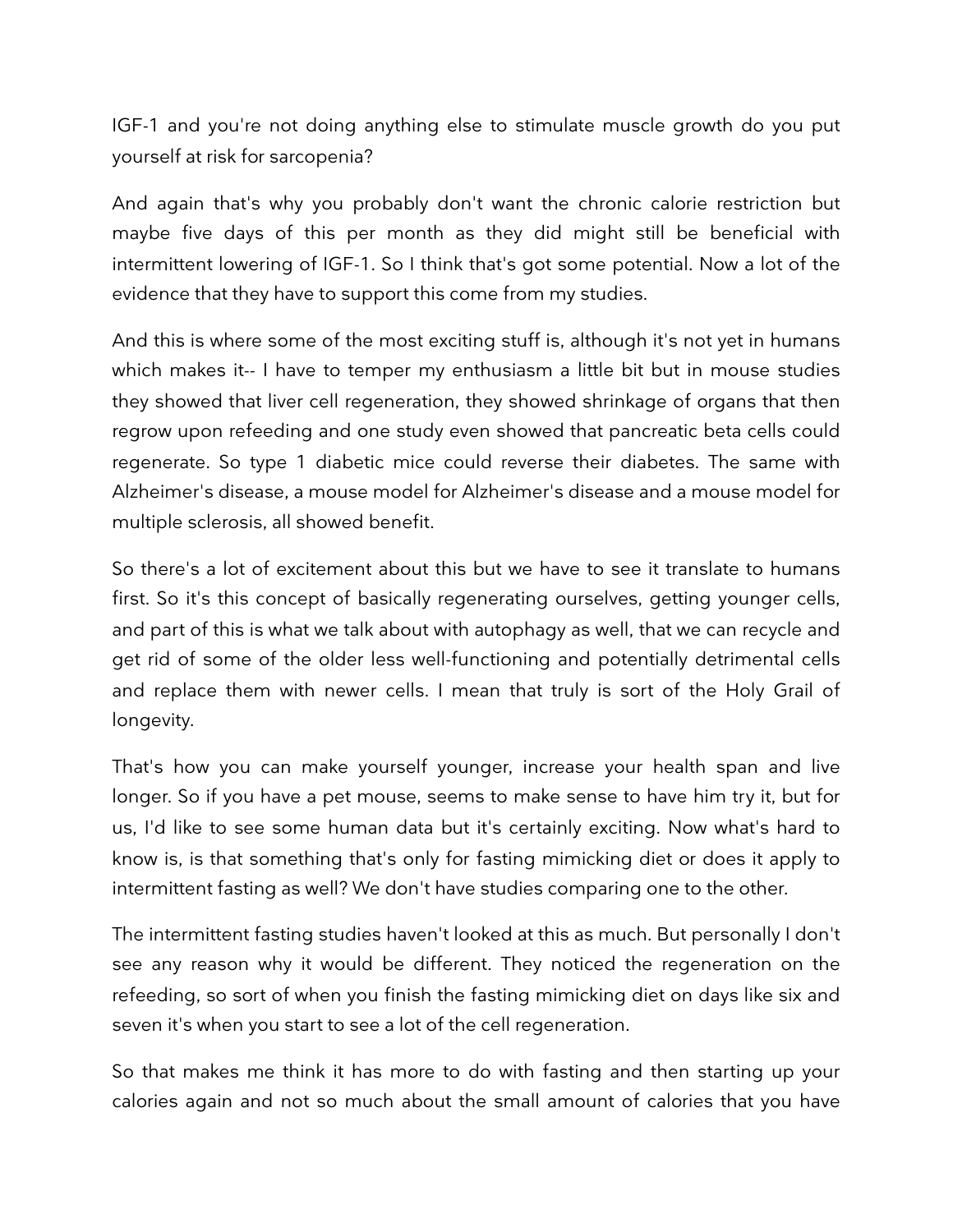IGF-1 and you're not doing anything else to stimulate muscle growth do you put yourself at risk for sarcopenia?

And again that's why you probably don't want the chronic calorie restriction but maybe five days of this per month as they did might still be beneficial with intermittent lowering of IGF-1. So I think that's got some potential. Now a lot of the evidence that they have to support this come from my studies.

And this is where some of the most exciting stuff is, although it's not yet in humans which makes it-- I have to temper my enthusiasm a little bit but in mouse studies they showed that liver cell regeneration, they showed shrinkage of organs that then regrow upon refeeding and one study even showed that pancreatic beta cells could regenerate. So type 1 diabetic mice could reverse their diabetes. The same with Alzheimer's disease, a mouse model for Alzheimer's disease and a mouse model for multiple sclerosis, all showed benefit.

So there's a lot of excitement about this but we have to see it translate to humans first. So it's this concept of basically regenerating ourselves, getting younger cells, and part of this is what we talk about with autophagy as well, that we can recycle and get rid of some of the older less well-functioning and potentially detrimental cells and replace them with newer cells. I mean that truly is sort of the Holy Grail of longevity.

That's how you can make yourself younger, increase your health span and live longer. So if you have a pet mouse, seems to make sense to have him try it, but for us, I'd like to see some human data but it's certainly exciting. Now what's hard to know is, is that something that's only for fasting mimicking diet or does it apply to intermittent fasting as well? We don't have studies comparing one to the other.

The intermittent fasting studies haven't looked at this as much. But personally I don't see any reason why it would be different. They noticed the regeneration on the refeeding, so sort of when you finish the fasting mimicking diet on days like six and seven it's when you start to see a lot of the cell regeneration.

So that makes me think it has more to do with fasting and then starting up your calories again and not so much about the small amount of calories that you have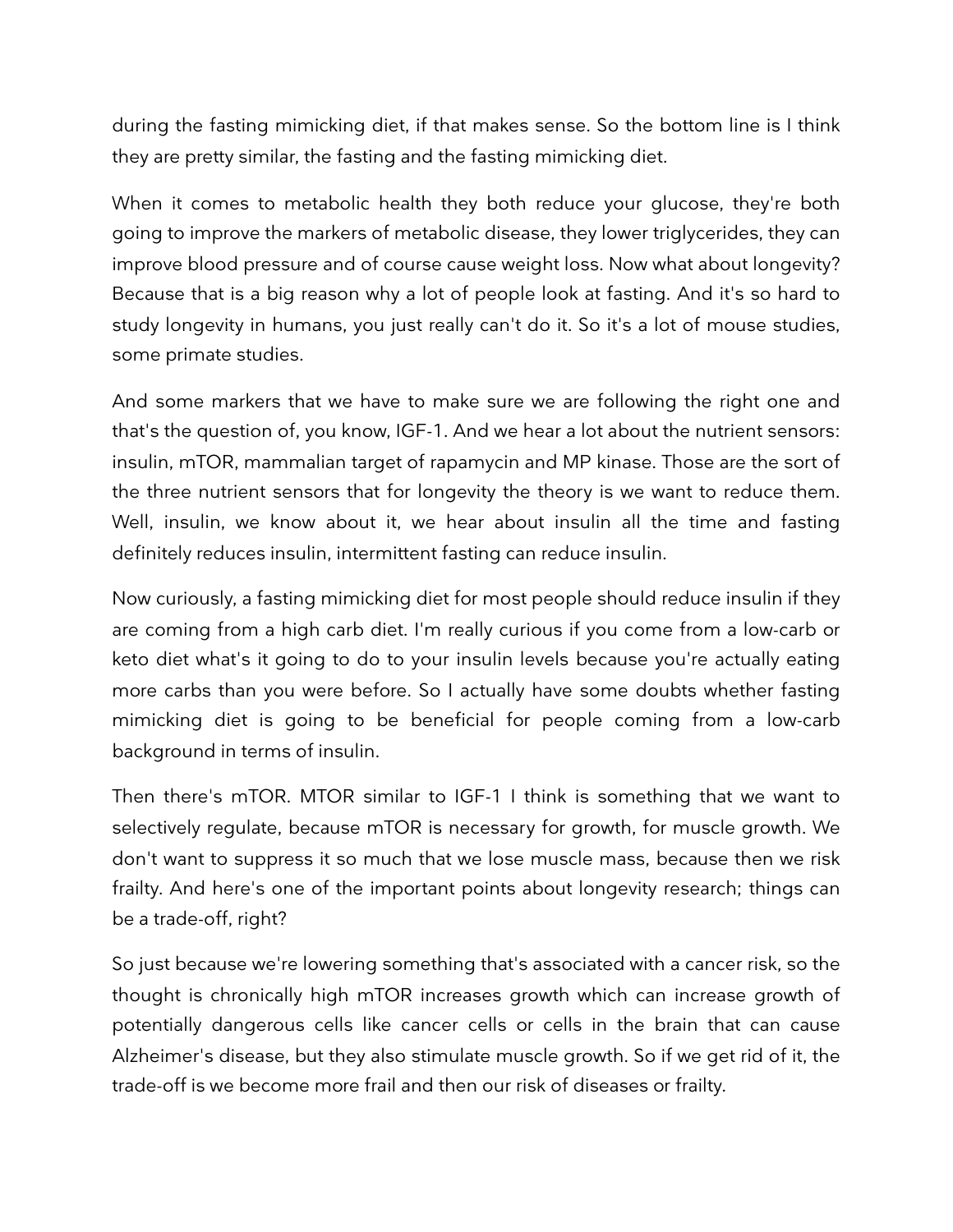during the fasting mimicking diet, if that makes sense. So the bottom line is I think they are pretty similar, the fasting and the fasting mimicking diet.

When it comes to metabolic health they both reduce your glucose, they're both going to improve the markers of metabolic disease, they lower triglycerides, they can improve blood pressure and of course cause weight loss. Now what about longevity? Because that is a big reason why a lot of people look at fasting. And it's so hard to study longevity in humans, you just really can't do it. So it's a lot of mouse studies, some primate studies.

And some markers that we have to make sure we are following the right one and that's the question of, you know, IGF-1. And we hear a lot about the nutrient sensors: insulin, mTOR, mammalian target of rapamycin and MP kinase. Those are the sort of the three nutrient sensors that for longevity the theory is we want to reduce them. Well, insulin, we know about it, we hear about insulin all the time and fasting definitely reduces insulin, intermittent fasting can reduce insulin.

Now curiously, a fasting mimicking diet for most people should reduce insulin if they are coming from a high carb diet. I'm really curious if you come from a low-carb or keto diet what's it going to do to your insulin levels because you're actually eating more carbs than you were before. So I actually have some doubts whether fasting mimicking diet is going to be beneficial for people coming from a low-carb background in terms of insulin.

Then there's mTOR. MTOR similar to IGF-1 I think is something that we want to selectively regulate, because mTOR is necessary for growth, for muscle growth. We don't want to suppress it so much that we lose muscle mass, because then we risk frailty. And here's one of the important points about longevity research; things can be a trade-off, right?

So just because we're lowering something that's associated with a cancer risk, so the thought is chronically high mTOR increases growth which can increase growth of potentially dangerous cells like cancer cells or cells in the brain that can cause Alzheimer's disease, but they also stimulate muscle growth. So if we get rid of it, the trade-off is we become more frail and then our risk of diseases or frailty.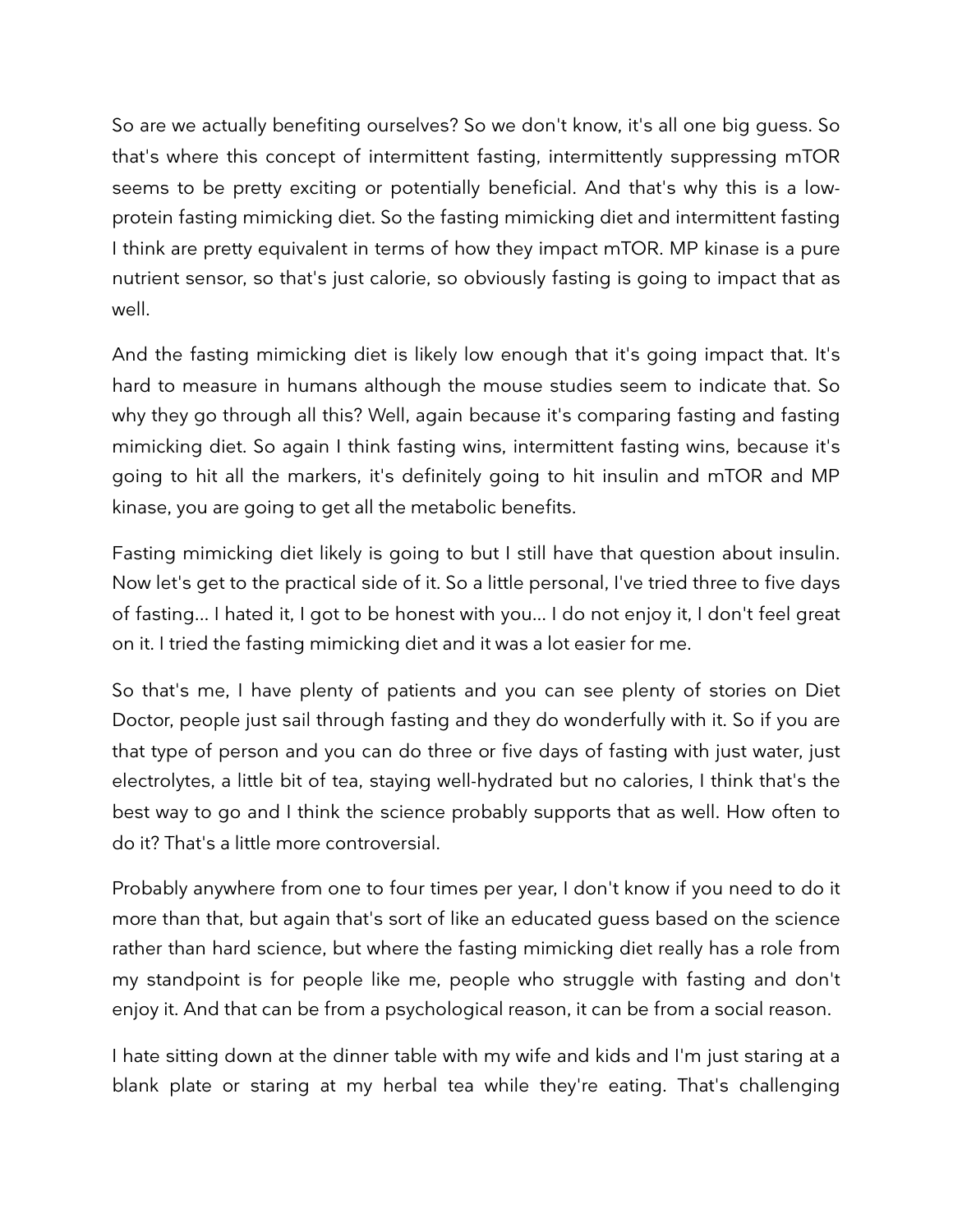So are we actually benefiting ourselves? So we don't know, it's all one big guess. So that's where this concept of intermittent fasting, intermittently suppressing mTOR seems to be pretty exciting or potentially beneficial. And that's why this is a lowprotein fasting mimicking diet. So the fasting mimicking diet and intermittent fasting I think are pretty equivalent in terms of how they impact mTOR. MP kinase is a pure nutrient sensor, so that's just calorie, so obviously fasting is going to impact that as well.

And the fasting mimicking diet is likely low enough that it's going impact that. It's hard to measure in humans although the mouse studies seem to indicate that. So why they go through all this? Well, again because it's comparing fasting and fasting mimicking diet. So again I think fasting wins, intermittent fasting wins, because it's going to hit all the markers, it's definitely going to hit insulin and mTOR and MP kinase, you are going to get all the metabolic benefits.

Fasting mimicking diet likely is going to but I still have that question about insulin. Now let's get to the practical side of it. So a little personal, I've tried three to five days of fasting... I hated it, I got to be honest with you... I do not enjoy it, I don't feel great on it. I tried the fasting mimicking diet and it was a lot easier for me.

So that's me, I have plenty of patients and you can see plenty of stories on Diet Doctor, people just sail through fasting and they do wonderfully with it. So if you are that type of person and you can do three or five days of fasting with just water, just electrolytes, a little bit of tea, staying well-hydrated but no calories, I think that's the best way to go and I think the science probably supports that as well. How often to do it? That's a little more controversial.

Probably anywhere from one to four times per year, I don't know if you need to do it more than that, but again that's sort of like an educated guess based on the science rather than hard science, but where the fasting mimicking diet really has a role from my standpoint is for people like me, people who struggle with fasting and don't enjoy it. And that can be from a psychological reason, it can be from a social reason.

I hate sitting down at the dinner table with my wife and kids and I'm just staring at a blank plate or staring at my herbal tea while they're eating. That's challenging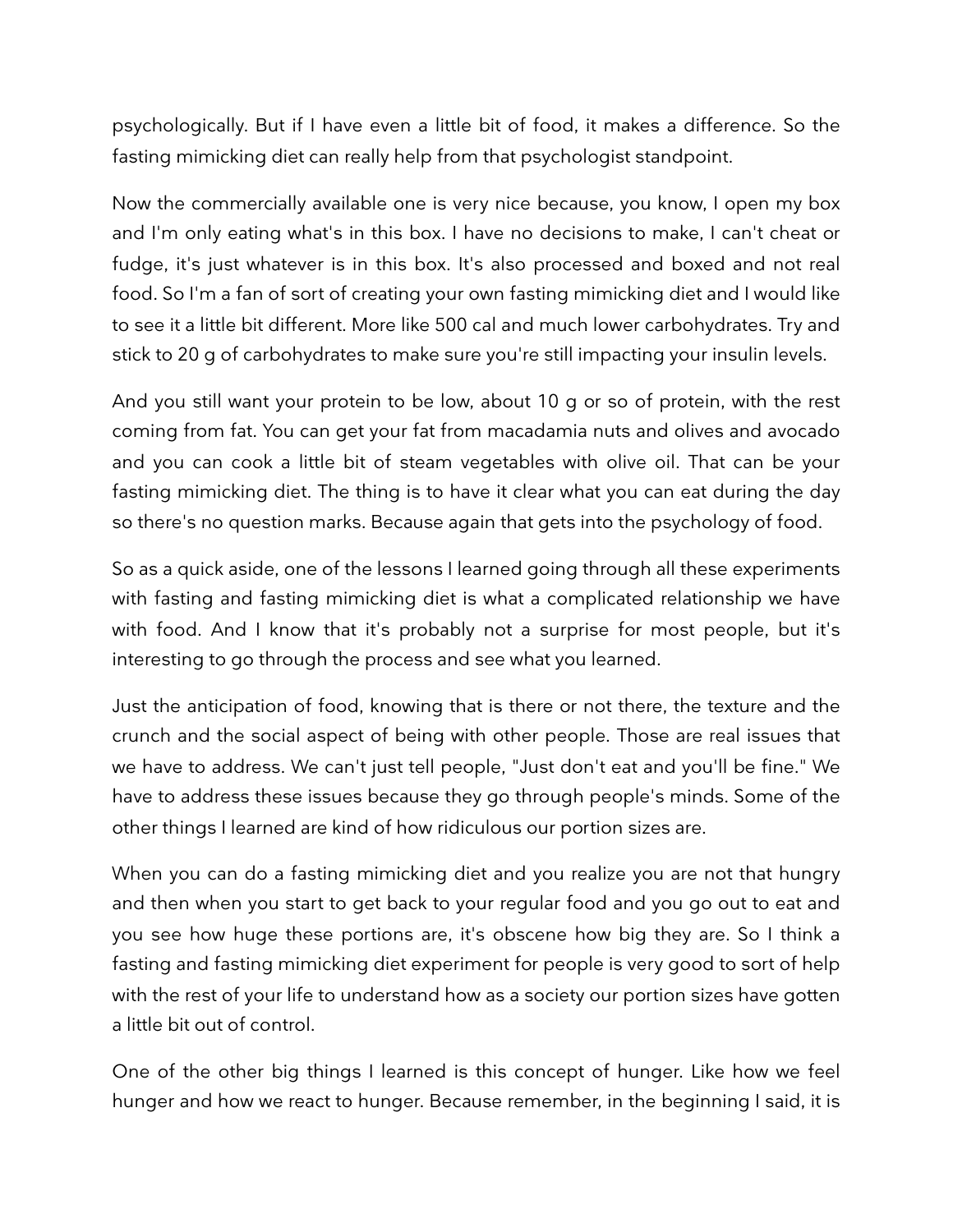psychologically. But if I have even a little bit of food, it makes a difference. So the fasting mimicking diet can really help from that psychologist standpoint.

Now the commercially available one is very nice because, you know, I open my box and I'm only eating what's in this box. I have no decisions to make, I can't cheat or fudge, it's just whatever is in this box. It's also processed and boxed and not real food. So I'm a fan of sort of creating your own fasting mimicking diet and I would like to see it a little bit different. More like 500 cal and much lower carbohydrates. Try and stick to 20 g of carbohydrates to make sure you're still impacting your insulin levels.

And you still want your protein to be low, about 10 g or so of protein, with the rest coming from fat. You can get your fat from macadamia nuts and olives and avocado and you can cook a little bit of steam vegetables with olive oil. That can be your fasting mimicking diet. The thing is to have it clear what you can eat during the day so there's no question marks. Because again that gets into the psychology of food.

So as a quick aside, one of the lessons I learned going through all these experiments with fasting and fasting mimicking diet is what a complicated relationship we have with food. And I know that it's probably not a surprise for most people, but it's interesting to go through the process and see what you learned.

Just the anticipation of food, knowing that is there or not there, the texture and the crunch and the social aspect of being with other people. Those are real issues that we have to address. We can't just tell people, "Just don't eat and you'll be fine." We have to address these issues because they go through people's minds. Some of the other things I learned are kind of how ridiculous our portion sizes are.

When you can do a fasting mimicking diet and you realize you are not that hungry and then when you start to get back to your regular food and you go out to eat and you see how huge these portions are, it's obscene how big they are. So I think a fasting and fasting mimicking diet experiment for people is very good to sort of help with the rest of your life to understand how as a society our portion sizes have gotten a little bit out of control.

One of the other big things I learned is this concept of hunger. Like how we feel hunger and how we react to hunger. Because remember, in the beginning I said, it is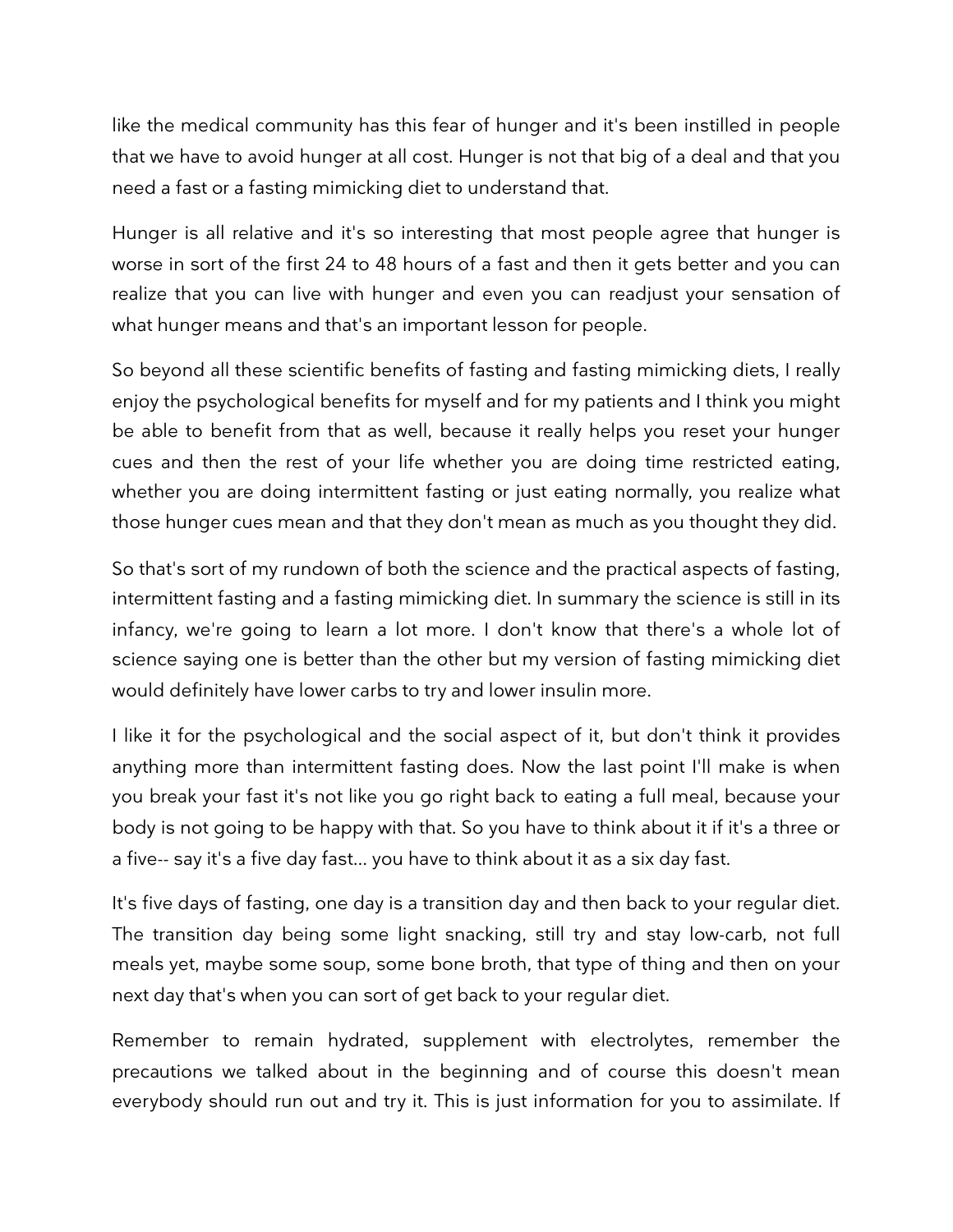like the medical community has this fear of hunger and it's been instilled in people that we have to avoid hunger at all cost. Hunger is not that big of a deal and that you need a fast or a fasting mimicking diet to understand that.

Hunger is all relative and it's so interesting that most people agree that hunger is worse in sort of the first 24 to 48 hours of a fast and then it gets better and you can realize that you can live with hunger and even you can readjust your sensation of what hunger means and that's an important lesson for people.

So beyond all these scientific benefits of fasting and fasting mimicking diets, I really enjoy the psychological benefits for myself and for my patients and I think you might be able to benefit from that as well, because it really helps you reset your hunger cues and then the rest of your life whether you are doing time restricted eating, whether you are doing intermittent fasting or just eating normally, you realize what those hunger cues mean and that they don't mean as much as you thought they did.

So that's sort of my rundown of both the science and the practical aspects of fasting, intermittent fasting and a fasting mimicking diet. In summary the science is still in its infancy, we're going to learn a lot more. I don't know that there's a whole lot of science saying one is better than the other but my version of fasting mimicking diet would definitely have lower carbs to try and lower insulin more.

I like it for the psychological and the social aspect of it, but don't think it provides anything more than intermittent fasting does. Now the last point I'll make is when you break your fast it's not like you go right back to eating a full meal, because your body is not going to be happy with that. So you have to think about it if it's a three or a five-- say it's a five day fast... you have to think about it as a six day fast.

It's five days of fasting, one day is a transition day and then back to your regular diet. The transition day being some light snacking, still try and stay low-carb, not full meals yet, maybe some soup, some bone broth, that type of thing and then on your next day that's when you can sort of get back to your regular diet.

Remember to remain hydrated, supplement with electrolytes, remember the precautions we talked about in the beginning and of course this doesn't mean everybody should run out and try it. This is just information for you to assimilate. If